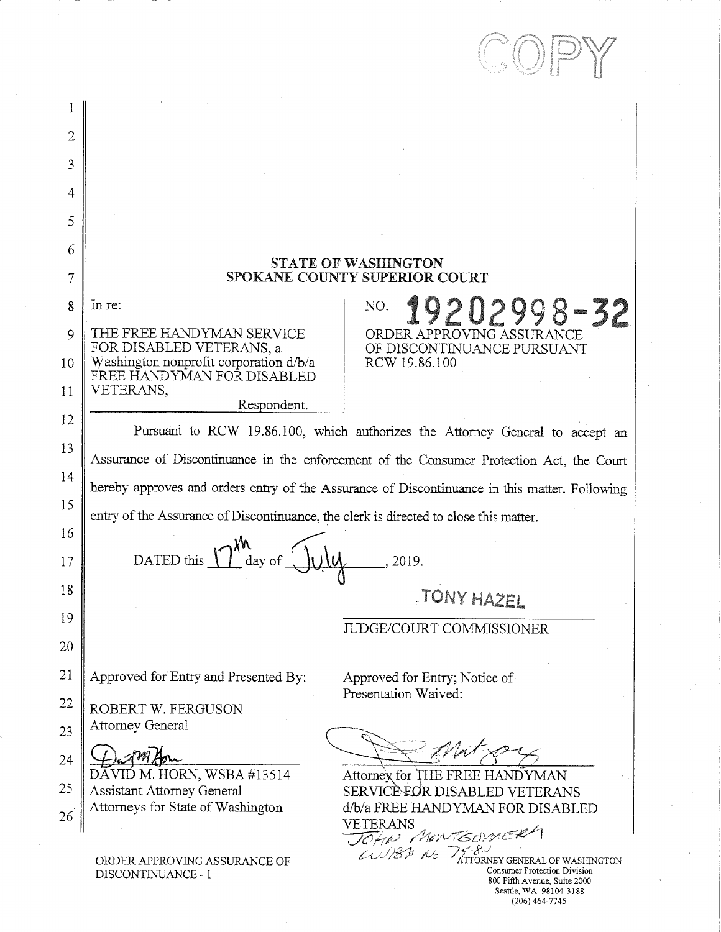| 2        |                                                                                                                                                                           |
|----------|---------------------------------------------------------------------------------------------------------------------------------------------------------------------------|
| 3        |                                                                                                                                                                           |
| 4        |                                                                                                                                                                           |
| 5        |                                                                                                                                                                           |
| 6        |                                                                                                                                                                           |
| 7        | <b>STATE OF WASHINGTON</b><br>SPOKANE COUNTY SUPERIOR COURT                                                                                                               |
| 8        | In re:<br>19202998-32<br>NO.                                                                                                                                              |
| 9        | THE FREE HANDYMAN SERVICE<br>ORDER APPROVING ASSURANCE<br>FOR DISABLED VETERANS, a<br>OF DISCONTINUANCE PURSUANT                                                          |
| 10       | Washington nonprofit corporation d/b/a<br>RCW 19.86.100<br>FREE HANDYMAN FOR DISABLED                                                                                     |
| 11       | VETERANS,<br>Respondent.                                                                                                                                                  |
| 12       | Pursuant to RCW 19.86.100, which authorizes the Attorney General to accept an                                                                                             |
| 13       | Assurance of Discontinuance in the enforcement of the Consumer Protection Act, the Court                                                                                  |
| 14       | hereby approves and orders entry of the Assurance of Discontinuance in this matter. Following                                                                             |
| 15       | entry of the Assurance of Discontinuance, the clerk is directed to close this matter.                                                                                     |
| 16<br>17 | DATED this $\int$ $\int$ day of<br>, 2019.                                                                                                                                |
| 18       | TONY HAZEL                                                                                                                                                                |
| 19       | JUDGE/COURT COMMISSIONER                                                                                                                                                  |
| 20       |                                                                                                                                                                           |
| 21       | Approved for Entry and Presented By:<br>Approved for Entry; Notice of<br>Presentation Waived:                                                                             |
| 22       | ROBERT W. FERGUSON                                                                                                                                                        |
| 23       | <b>Attorney General</b>                                                                                                                                                   |
| 24       | DAVID M. HORN, WSBA #13514<br>Attorney for THE FREE HANDYMAN                                                                                                              |
| 25       | <b>Assistant Attorney General</b><br>SERVICÈ EOR DISABLED VETERANS<br>Attorneys for State of Washington<br>d/b/a FREE HANDYMAN FOR DISABLED                               |
| 26       | VETERANS<br>JOHN MONTGOMER                                                                                                                                                |
|          | $\omega$ 88 $\kappa$ 7768<br>ORDER APPROVING ASSURANCE OF<br>Consumer Protection Division<br>DISCONTINUANCE - 1<br>800 Fifth Avenue, Suite 2000<br>Seattle, WA 98104-3188 |

 $\lambda$ 

(206) 464-7745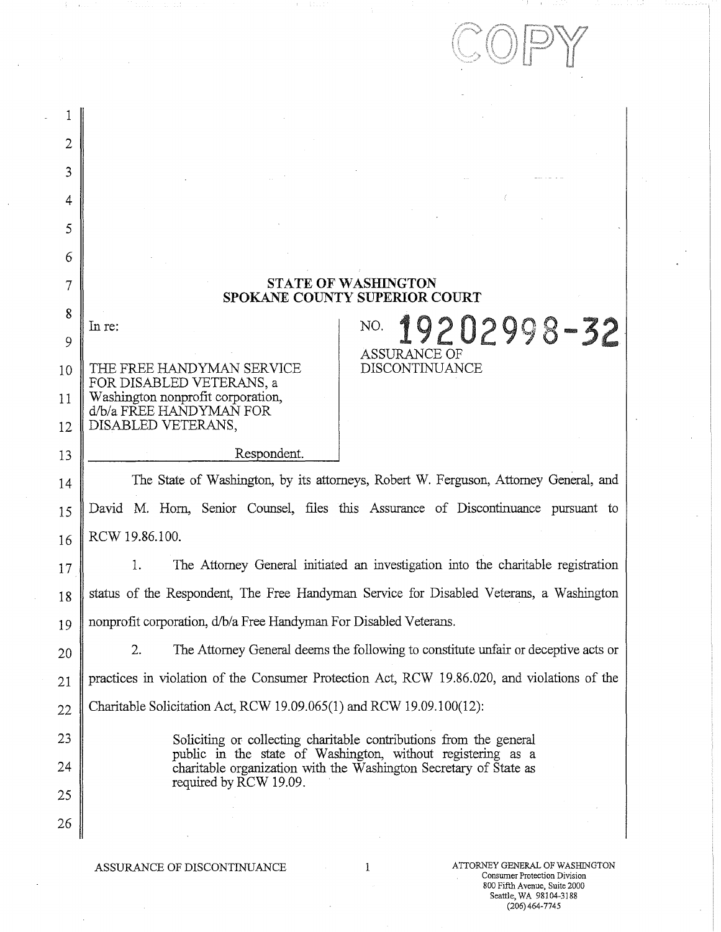|                                         | Tanih a a<br>$A = 31.11$                                                                                                                                                                                                                                     |
|-----------------------------------------|--------------------------------------------------------------------------------------------------------------------------------------------------------------------------------------------------------------------------------------------------------------|
|                                         |                                                                                                                                                                                                                                                              |
| $\overline{2}$<br>3<br>4<br>5<br>6<br>7 | <b>STATE OF WASHINGTON</b><br>SPOKANE COUNTY SUPERIOR COURT                                                                                                                                                                                                  |
| 8<br>9<br>10<br>11                      | 19202998-32<br>NO.<br>In re:<br><b>ASSURANCE OF</b><br>DISCONTINUANCE<br>THE FREE HANDYMAN SERVICE<br>FOR DISABLED VETERANS, a<br>Washington nonprofit corporation,<br>d/b/a FREE HANDYMAN FOR                                                               |
| 12<br>13<br>14                          | DISABLED VETERANS,<br>Respondent.<br>The State of Washington, by its attorneys, Robert W. Ferguson, Attorney General, and                                                                                                                                    |
| 15<br>16                                | David M. Horn, Senior Counsel, files this Assurance of Discontinuance pursuant to<br>RCW 19.86.100.                                                                                                                                                          |
| 17<br>18                                | The Attorney General initiated an investigation into the charitable registration<br>1.<br>status of the Respondent, The Free Handyman Service for Disabled Veterans, a Washington                                                                            |
| 19<br>20                                | nonprofit corporation, d/b/a Free Handyman For Disabled Veterans.<br>2.<br>The Attorney General deems the following to constitute unfair or deceptive acts or<br>practices in violation of the Consumer Protection Act, RCW 19.86.020, and violations of the |
| 21<br>22                                | Charitable Solicitation Act, RCW 19.09.065(1) and RCW 19.09.100(12):                                                                                                                                                                                         |
| 23<br>24<br>25                          | Soliciting or collecting charitable contributions from the general<br>public in the state of Washington, without registering as a<br>charitable organization with the Washington Secretary of State as<br>required by RCW 19.09.                             |
| 26                                      |                                                                                                                                                                                                                                                              |

ASSURANCE OF DISCONTINUANCE  $1$ 

Consumer Protection Division 800 Fifth Avenue, Suite 2000 Seattle, WA 98104-3188 (206)464-7745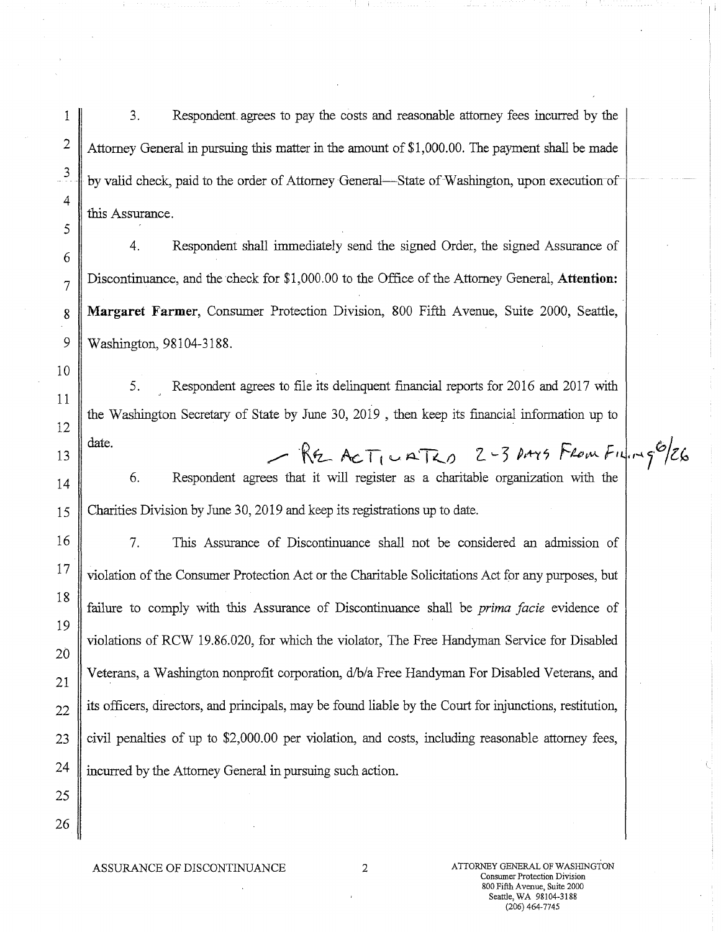3. Respondent. agrees to pay the costs and reasonable attorney fees incurred by the Attorney General in pursuing this matter in the amount of \$1,000.00. The payment shall be made by valid check, paid to the order of Attorney General—State of Washington, upon execution of this Assurance.

4. Respondent shall immediately send the signed Order, the signed Assurance of Discontinuance, and the check for \$1,000.00 to the Office of the Attorney General, **Attention: Margaret Farmer,** Consumer Protection Division, 800 Fifth Avenue, Suite 2000, Seattle, Washington, 98104-3188.

5. Respondent agrees to file its delinquent financial reports for 2016 and 2017 with the Washington Secretary of State by June 30, 2019 , then keep its financial information up to date.

6. Respondent agrees that it will register as a charitable organization with the Charities Division by June 30, 2019 and keep its registrations up to date.

7. This Assurance of Discontinuance shall not be considered an admission of violation of the Consumer Protection Act or the Charitable Solicitations Act for any purposes, but failure to comply with this Assurance of Discontinuance shall be *prima facie* evidence of violations of RCW 19.86.020, for which the violator, The Free Handyman Service for Disabled Veterans, a Washington nonprofit corporation, d/b/a Free Handyman For Disabled Veterans, and its officers, directors, and principals, may be found liable by the Court for injunctions, restitution, civil penalties of up to \$2,000.00 per violation, and costs, including reasonable attorney fees, incurred by the Attorney General in pursuing such action.

1

2

3

4

5

6

7

8

9

10

11

12

13

14

 $149^{6}$